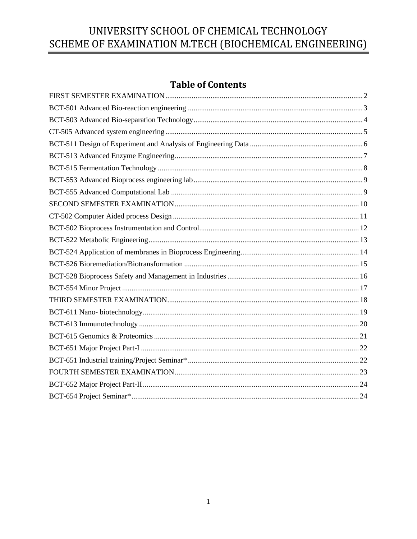## **Table of Contents**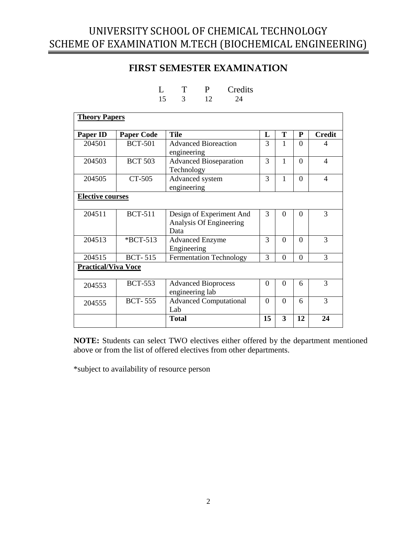## **FIRST SEMESTER EXAMINATION**

|  | I) | Credits |
|--|----|---------|
|  |    |         |

<span id="page-1-0"></span>

| <b>Theory Papers</b>       |                   |                                       |               |                |                |                          |
|----------------------------|-------------------|---------------------------------------|---------------|----------------|----------------|--------------------------|
| <b>Paper ID</b>            | <b>Paper Code</b> | <b>Tile</b>                           | L             | т              | P              | <b>Credit</b>            |
| 204501                     | <b>BCT-501</b>    | <b>Advanced Bioreaction</b>           | $\mathcal{R}$ | 1              | $\Omega$       |                          |
|                            |                   | engineering                           |               |                |                |                          |
| 204503                     | <b>BCT 503</b>    | <b>Advanced Bioseparation</b>         | 3             | $\mathbf{1}$   | $\Omega$       | $\overline{\mathcal{A}}$ |
|                            |                   | Technology                            |               |                |                |                          |
| 204505                     | CT-505            | Advanced system                       | 3             | $\mathbf{1}$   | $\Omega$       | 4                        |
|                            |                   | engineering                           |               |                |                |                          |
| <b>Elective courses</b>    |                   |                                       |               |                |                |                          |
|                            |                   |                                       |               |                |                |                          |
| 204511                     | <b>BCT-511</b>    | Design of Experiment And              | 3             | 0              | $\Omega$       | 3                        |
|                            |                   | Analysis Of Engineering<br>Data       |               |                |                |                          |
| 204513                     | $*$ BCT-513       |                                       | 3             | 0              | $\Omega$       | 3                        |
|                            |                   | <b>Advanced Enzyme</b><br>Engineering |               |                |                |                          |
| 204515                     | <b>BCT-515</b>    | <b>Fermentation Technology</b>        | 3             | $\overline{0}$ | $\overline{0}$ | 3                        |
| <b>Practical/Viva Voce</b> |                   |                                       |               |                |                |                          |
|                            |                   |                                       |               |                |                |                          |
| 204553                     | <b>BCT-553</b>    | <b>Advanced Bioprocess</b>            | $\Omega$      | $\theta$       | 6              | 3                        |
|                            |                   | engineering lab                       |               |                |                |                          |
| 204555                     | <b>BCT-555</b>    | <b>Advanced Computational</b>         | $\Omega$      | $\Omega$       | 6              | 3                        |
|                            |                   | Lab                                   |               |                |                |                          |
|                            |                   | <b>Total</b>                          | 15            | 3              | 12             | 24                       |

**NOTE:** Students can select TWO electives either offered by the department mentioned above or from the list of offered electives from other departments.

\*subject to availability of resource person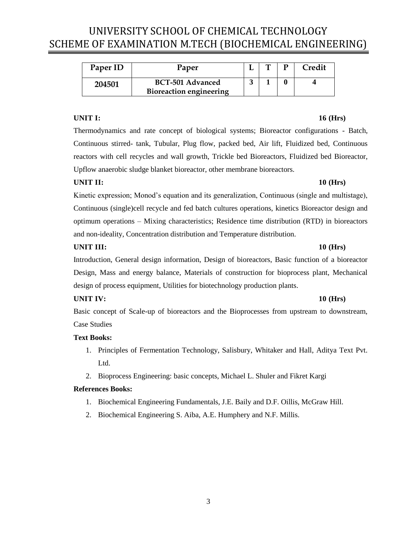<span id="page-2-0"></span>

| Paper ID | Paper                                              | <b>. .</b> | Credit |
|----------|----------------------------------------------------|------------|--------|
| 204501   | BCT-501 Advanced<br><b>Bioreaction engineering</b> |            |        |

### **UNIT I: 16 (Hrs)**

Thermodynamics and rate concept of biological systems; Bioreactor configurations - Batch, Continuous stirred- tank, Tubular, Plug flow, packed bed, Air lift, Fluidized bed, Continuous reactors with cell recycles and wall growth, Trickle bed Bioreactors, Fluidized bed Bioreactor, Upflow anaerobic sludge blanket bioreactor, other membrane bioreactors.

### **UNIT II: 10 (Hrs)**

Kinetic expression; Monod's equation and its generalization, Continuous (single and multistage), Continuous (single)cell recycle and fed batch cultures operations, kinetics Bioreactor design and optimum operations – Mixing characteristics; Residence time distribution (RTD) in bioreactors and non-ideality, Concentration distribution and Temperature distribution.

### **UNIT III: 10 (Hrs)**

Introduction, General design information, Design of bioreactors, Basic function of a bioreactor Design, Mass and energy balance, Materials of construction for bioprocess plant, Mechanical design of process equipment, Utilities for biotechnology production plants.

### **UNIT IV: 10 (Hrs)**

Basic concept of Scale-up of bioreactors and the Bioprocesses from upstream to downstream, Case Studies

### **Text Books:**

- 1. Principles of Fermentation Technology, Salisbury, Whitaker and Hall, Aditya Text Pvt. Ltd.
- 2. Bioprocess Engineering: basic concepts, Michael L. Shuler and Fikret Kargi

- 1. Biochemical Engineering Fundamentals, J.E. Baily and D.F. Oillis, McGraw Hill.
- 2. Biochemical Engineering S. Aiba, A.E. Humphery and N.F. Millis.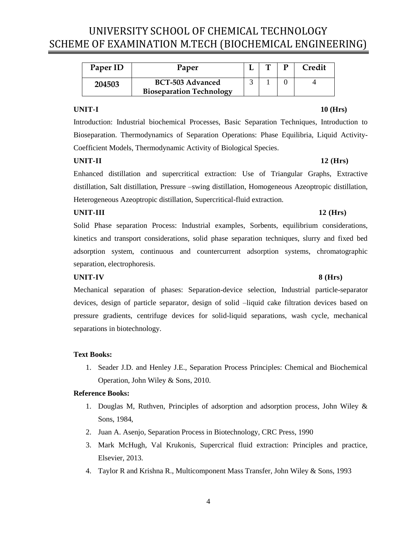<span id="page-3-0"></span>

| Paper ID | Paper                           | m | Credit |
|----------|---------------------------------|---|--------|
| 204503   | BCT-503 Advanced                |   |        |
|          | <b>Bioseparation Technology</b> |   |        |

### **UNIT-I 10 (Hrs)**

Introduction: Industrial biochemical Processes, Basic Separation Techniques, Introduction to Bioseparation. Thermodynamics of Separation Operations: Phase Equilibria, Liquid Activity-Coefficient Models, Thermodynamic Activity of Biological Species.

### **UNIT-II 12 (Hrs)**

Enhanced distillation and supercritical extraction: Use of Triangular Graphs, Extractive distillation, Salt distillation, Pressure –swing distillation, Homogeneous Azeoptropic distillation, Heterogeneous Azeoptropic distillation, Supercritical-fluid extraction.

### **UNIT-III** 12 (Hrs)

Solid Phase separation Process: Industrial examples, Sorbents, equilibrium considerations, kinetics and transport considerations, solid phase separation techniques, slurry and fixed bed adsorption system, continuous and countercurrent adsorption systems, chromatographic separation, electrophoresis.

### **UNIT-IV 8 (Hrs)**

## Mechanical separation of phases: Separation-device selection, Industrial particle-separator devices, design of particle separator, design of solid –liquid cake filtration devices based on pressure gradients, centrifuge devices for solid-liquid separations, wash cycle, mechanical separations in biotechnology.

### **Text Books:**

1. Seader J.D. and Henley J.E., Separation Process Principles: Chemical and Biochemical Operation, John Wiley & Sons, 2010.

- 1. Douglas M, Ruthven, Principles of adsorption and adsorption process, John Wiley & Sons, 1984,
- 2. Juan A. Asenjo, Separation Process in Biotechnology, CRC Press, 1990
- 3. Mark McHugh, Val Krukonis, Supercrical fluid extraction: Principles and practice, Elsevier, 2013.
- 4. Taylor R and Krishna R., Multicomponent Mass Transfer, John Wiley & Sons, 1993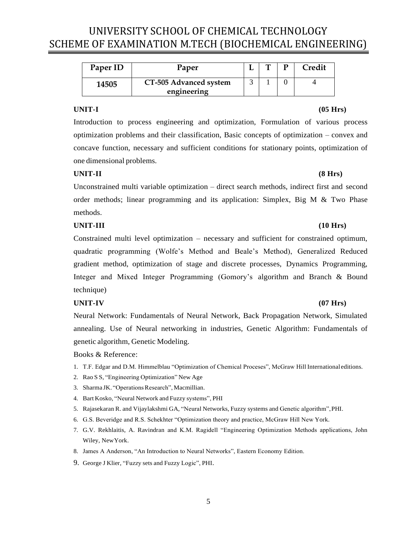<span id="page-4-0"></span>

| Paper ID | Paper                  | m | Credit |
|----------|------------------------|---|--------|
| 14505    | CT-505 Advanced system |   |        |
|          | engineering            |   |        |

Introduction to process engineering and optimization, Formulation of various process optimization problems and their classification, Basic concepts of optimization – convex and concave function, necessary and sufficient conditions for stationary points, optimization of one dimensional problems.

### **UNIT-II (8 Hrs)**

Unconstrained multi variable optimization – direct search methods, indirect first and second order methods; linear programming and its application: Simplex, Big M & Two Phase methods.

### **UNIT-III (10 Hrs)**

Constrained multi level optimization – necessary and sufficient for constrained optimum, quadratic programming (Wolfe's Method and Beale's Method), Generalized Reduced gradient method, optimization of stage and discrete processes, Dynamics Programming, Integer and Mixed Integer Programming (Gomory's algorithm and Branch & Bound technique)

### **UNIT-IV (07 Hrs)**

Neural Network: Fundamentals of Neural Network, Back Propagation Network, Simulated annealing. Use of Neural networking in industries, Genetic Algorithm: Fundamentals of genetic algorithm, Genetic Modeling.

### Books & Reference:

- 1. T.F. Edgar and D.M. Himmelblau "Optimization of Chemical Proceses", McGraw Hill International editions.
- 2. Rao S S, "Engineering Optimization" New Age
- 3. Sharma JK. "Operations Research", Macmillian.
- 4. Bart Kosko, "Neural Network and Fuzzy systems", PHI
- 5. Rajasekaran R. and Vijaylakshmi GA, "Neural Networks, Fuzzy systems and Genetic algorithm",PHI.
- 6. G.S. Beveridge and R.S. Schekhter "Optimization theory and practice, McGraw Hill New York.
- 7. G.V. Rekhlaitis, A. Ravindran and K.M. Ragidell "Engineering Optimization Methods applications, John Wiley, NewYork.
- 8. James A Anderson, "An Introduction to Neural Networks", Eastern Economy Edition.
- 9. George J Klier, "Fuzzy sets and Fuzzy Logic", PHI.

### **UNIT-I (05 Hrs)**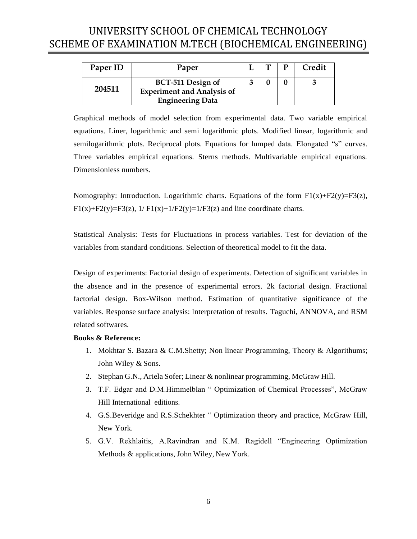<span id="page-5-0"></span>

| Paper ID | Paper                                                                             |  |  | <b>Credit</b> |
|----------|-----------------------------------------------------------------------------------|--|--|---------------|
| 204511   | BCT-511 Design of<br><b>Experiment and Analysis of</b><br><b>Engineering Data</b> |  |  |               |

Graphical methods of model selection from experimental data. Two variable empirical equations. Liner, logarithmic and semi logarithmic plots. Modified linear, logarithmic and semilogarithmic plots. Reciprocal plots. Equations for lumped data. Elongated "s" curves. Three variables empirical equations. Sterns methods. Multivariable empirical equations. Dimensionless numbers.

Nomography: Introduction. Logarithmic charts. Equations of the form  $F1(x)+F2(y)=F3(z)$ ,  $F1(x)+F2(y)=F3(z), 1/F1(x)+1/F2(y)=1/F3(z)$  and line coordinate charts.

Statistical Analysis: Tests for Fluctuations in process variables. Test for deviation of the variables from standard conditions. Selection of theoretical model to fit the data.

Design of experiments: Factorial design of experiments. Detection of significant variables in the absence and in the presence of experimental errors. 2k factorial design. Fractional factorial design. Box-Wilson method. Estimation of quantitative significance of the variables. Response surface analysis: Interpretation of results. Taguchi, ANNOVA, and RSM related softwares.

### **Books & Reference:**

- 1. Mokhtar S. Bazara & C.M.Shetty; Non linear Programming, Theory & Algorithums; John Wiley & Sons.
- 2. Stephan G.N., Ariela Sofer; Linear & nonlinear programming, McGraw Hill.
- 3. T.F. Edgar and D.M.Himmelblan " Optimization of Chemical Processes", McGraw Hill International editions.
- 4. G.S.Beveridge and R.S.Schekhter " Optimization theory and practice, McGraw Hill, New York.
- 5. G.V. Rekhlaitis, A.Ravindran and K.M. Ragidell "Engineering Optimization Methods & applications, John Wiley, New York.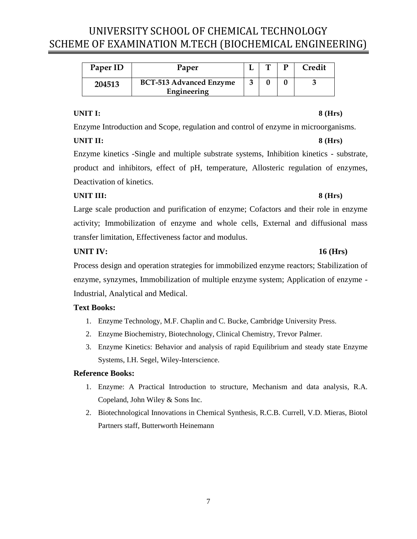<span id="page-6-0"></span>

| Paper ID | Paper                                         | ௱ | Credit |
|----------|-----------------------------------------------|---|--------|
| 204513   | <b>BCT-513 Advanced Enzyme</b><br>Engineering |   |        |

### **UNIT I: 8 (Hrs)**

Enzyme Introduction and Scope, regulation and control of enzyme in microorganisms.

### **UNIT II: 8 (Hrs)**

Enzyme kinetics -Single and multiple substrate systems, Inhibition kinetics - substrate, product and inhibitors, effect of pH, temperature, Allosteric regulation of enzymes, Deactivation of kinetics.

## **UNIT III: 8 (Hrs)**

Large scale production and purification of enzyme; Cofactors and their role in enzyme activity; Immobilization of enzyme and whole cells, External and diffusional mass transfer limitation, Effectiveness factor and modulus.

## **UNIT IV: 16 (Hrs)**

Process design and operation strategies for immobilized enzyme reactors; Stabilization of enzyme, synzymes, Immobilization of multiple enzyme system; Application of enzyme - Industrial, Analytical and Medical.

## **Text Books:**

- 1. Enzyme Technology, M.F. Chaplin and C. Bucke, Cambridge University Press.
- 2. Enzyme Biochemistry, Biotechnology, Clinical Chemistry, Trevor Palmer.
- 3. Enzyme Kinetics: Behavior and analysis of rapid Equilibrium and steady state Enzyme Systems, I.H. Segel, Wiley-Interscience.

- 1. Enzyme: A Practical Introduction to structure, Mechanism and data analysis, R.A. Copeland, John Wiley & Sons Inc.
- 2. Biotechnological Innovations in Chemical Synthesis, R.C.B. Currell, V.D. Mieras, Biotol Partners staff, Butterworth Heinemann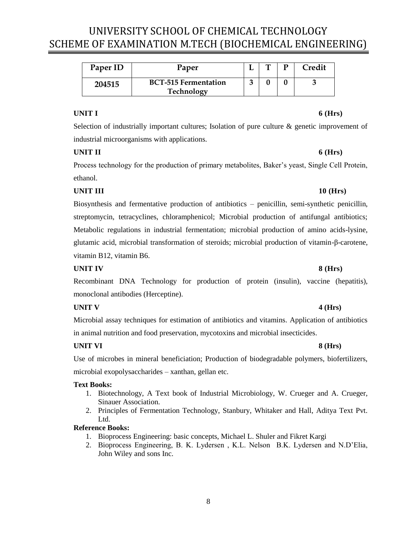<span id="page-7-0"></span>

| Paper ID | Paper                                     |  | Credit |
|----------|-------------------------------------------|--|--------|
| 204515   | <b>BCT-515 Fermentation</b><br>Technology |  |        |

### **UNIT I 6 (Hrs)**

Selection of industrially important cultures; Isolation of pure culture & genetic improvement of industrial microorganisms with applications.

### **UNIT II 6 (Hrs)**

Process technology for the production of primary metabolites, Baker's yeast, Single Cell Protein, ethanol.

## **UNIT III 10 (Hrs)**

Biosynthesis and fermentative production of antibiotics – penicillin, semi-synthetic penicillin, streptomycin, tetracyclines, chloramphenicol; Microbial production of antifungal antibiotics; Metabolic regulations in industrial fermentation; microbial production of amino acids-lysine, glutamic acid, microbial transformation of steroids; microbial production of vitamin-β-carotene, vitamin B12, vitamin B6.

### **UNIT IV 8 (Hrs)**

Recombinant DNA Technology for production of protein (insulin), vaccine (hepatitis), monoclonal antibodies (Herceptine).

### **UNIT V 4 (Hrs)**

Microbial assay techniques for estimation of antibiotics and vitamins. Application of antibiotics in animal nutrition and food preservation, mycotoxins and microbial insecticides.

### **UNIT VI 8 (Hrs)**

Use of microbes in mineral beneficiation; Production of biodegradable polymers, biofertilizers, microbial exopolysaccharides – xanthan, gellan etc.

### **Text Books:**

- 1. Biotechnology, A Text book of Industrial Microbiology, W. Crueger and A. Crueger, Sinauer Association.
- 2. Principles of Fermentation Technology, Stanbury, Whitaker and Hall, Aditya Text Pvt. Ltd.

- 1. Bioprocess Engineering: basic concepts, Michael L. Shuler and Fikret Kargi
- 2. Bioprocess Engineering, B. K. Lydersen , K.L. Nelson B.K. Lydersen and N.D'Elia, John Wiley and sons Inc.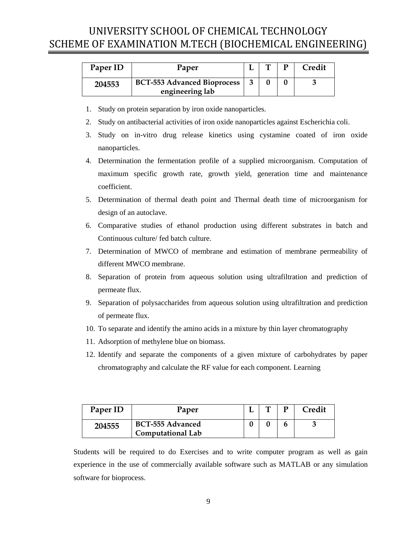<span id="page-8-0"></span>

| Paper ID | Paper                                                 |  | Credit |
|----------|-------------------------------------------------------|--|--------|
| 204553   | <b>BCT-553 Advanced Bioprocess</b><br>engineering lab |  |        |

- 1. Study on protein separation by iron oxide nanoparticles.
- 2. Study on antibacterial activities of iron oxide nanoparticles against Escherichia coli.
- 3. Study on in-vitro drug release kinetics using cystamine coated of iron oxide nanoparticles.
- 4. Determination the fermentation profile of a supplied microorganism. Computation of maximum specific growth rate, growth yield, generation time and maintenance coefficient.
- 5. Determination of thermal death point and Thermal death time of microorganism for design of an autoclave.
- 6. Comparative studies of ethanol production using different substrates in batch and Continuous culture/ fed batch culture.
- 7. Determination of MWCO of membrane and estimation of membrane permeability of different MWCO membrane.
- 8. Separation of protein from aqueous solution using ultrafiltration and prediction of permeate flux.
- 9. Separation of polysaccharides from aqueous solution using ultrafiltration and prediction of permeate flux.
- 10. To separate and identify the amino acids in a mixture by thin layer chromatography
- 11. Adsorption of methylene blue on biomass.
- 12. Identify and separate the components of a given mixture of carbohydrates by paper chromatography and calculate the RF value for each component. Learning

<span id="page-8-1"></span>

| Paper ID | Paper                                               |  | m | <b>Credit</b> |
|----------|-----------------------------------------------------|--|---|---------------|
| 204555   | <b>BCT-555 Advanced</b><br><b>Computational Lab</b> |  |   |               |

Students will be required to do Exercises and to write computer program as well as gain experience in the use of commercially available software such as MATLAB or any simulation software for bioprocess.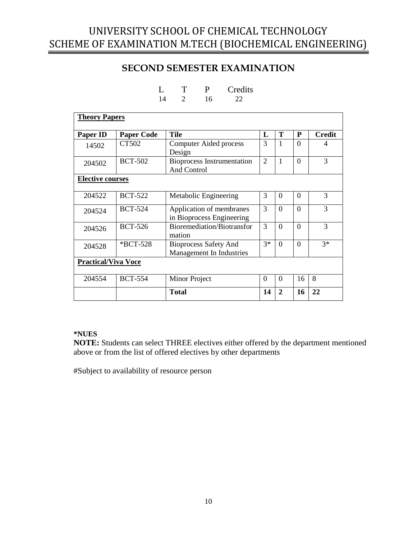## **SECOND SEMESTER EXAMINATION**

<span id="page-9-0"></span>

| <b>Theory Papers</b>       |                   |                                                          |                |              |          |               |
|----------------------------|-------------------|----------------------------------------------------------|----------------|--------------|----------|---------------|
| <b>Paper ID</b>            | <b>Paper Code</b> | <b>Tile</b>                                              | L              | T            | P        | <b>Credit</b> |
| 14502                      | CT502             | <b>Computer Aided process</b><br>Design                  | 3              | 1            | $\Omega$ | 4             |
| 204502                     | <b>BCT-502</b>    | <b>Bioprocess Instrumentation</b><br><b>And Control</b>  | $\overline{2}$ | 1            | $\theta$ | 3             |
| <b>Elective courses</b>    |                   |                                                          |                |              |          |               |
| 204522                     | <b>BCT-522</b>    | Metabolic Engineering                                    | 3              | $\Omega$     | $\Omega$ | 3             |
| 204524                     | <b>BCT-524</b>    | Application of membranes<br>in Bioprocess Engineering    | 3              | $\Omega$     | $\theta$ | 3             |
| 204526                     | <b>BCT-526</b>    | Bioremediation/Biotransfor<br>mation                     | 3              | $\Omega$     | $\Omega$ | 3             |
| 204528                     | *BCT-528          | <b>Bioprocess Safety And</b><br>Management In Industries | $3*$           | $\theta$     | $\Omega$ | $3*$          |
| <b>Practical/Viva Voce</b> |                   |                                                          |                |              |          |               |
| 204554                     | <b>BCT-554</b>    | Minor Project                                            | $\Omega$       | $\Omega$     | 16       | 8             |
|                            |                   | <b>Total</b>                                             | 14             | $\mathbf{2}$ | 16       | 22            |

L T P Credits 14 2 16 22

### **\*NUES**

**NOTE:** Students can select THREE electives either offered by the department mentioned above or from the list of offered electives by other departments

#Subject to availability of resource person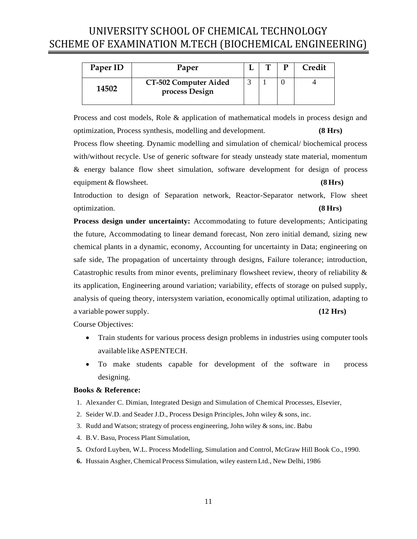<span id="page-10-0"></span>

| Paper ID | Paper                                   | <u>тва</u> | Credit |
|----------|-----------------------------------------|------------|--------|
| 14502    | CT-502 Computer Aided<br>process Design |            |        |

Process and cost models, Role & application of mathematical models in process design and optimization, Process synthesis, modelling and development. **(8 Hrs)** Process flow sheeting. Dynamic modelling and simulation of chemical/ biochemical process with/without recycle. Use of generic software for steady unsteady state material, momentum & energy balance flow sheet simulation, software development for design of process equipment & flowsheet. **(8 Hrs)**

Introduction to design of Separation network, Reactor-Separator network, Flow sheet optimization. **(8 Hrs)**

**Process design under uncertainty:** Accommodating to future developments; Anticipating the future, Accommodating to linear demand forecast, Non zero initial demand, sizing new chemical plants in a dynamic, economy, Accounting for uncertainty in Data; engineering on safe side, The propagation of uncertainty through designs, Failure tolerance; introduction, Catastrophic results from minor events, preliminary flowsheet review, theory of reliability  $\&$ its application, Engineering around variation; variability, effects of storage on pulsed supply, analysis of queing theory, intersystem variation, economically optimal utilization, adapting to a variable power supply. **(12 Hrs)**

Course Objectives:

- Train students for various process design problems in industries using computer tools available likeASPENTECH.
- To make students capable for development of the software in process designing.

### **Books & Reference:**

- 1. Alexander C. Dimian, Integrated Design and Simulation of Chemical Processes, Elsevier,
- 2. Seider W.D. and Seader J.D., Process Design Principles, John wiley & sons, inc.
- 3. Rudd and Watson; strategy of process engineering, John wiley  $\&$  sons, inc. Babu
- 4. B.V. Basu, Process Plant Simulation,
- **5.** Oxford Luyben, W.L. Process Modelling, Simulation and Control, McGraw Hill Book Co., 1990.
- **6.** Hussain Asgher, Chemical Process Simulation, wiley eastern Ltd., New Delhi, 1986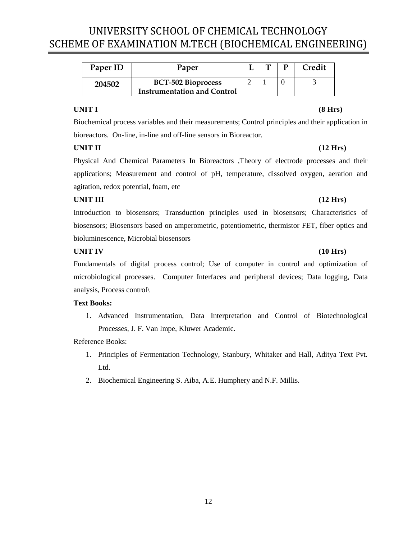<span id="page-11-0"></span>

| Paper ID | Paper                              |  | Credit |
|----------|------------------------------------|--|--------|
| 204502   | <b>BCT-502 Bioprocess</b>          |  |        |
|          | <b>Instrumentation and Control</b> |  |        |

### **UNIT I (8 Hrs)**

Biochemical process variables and their measurements; Control principles and their application in bioreactors. On-line, in-line and off-line sensors in Bioreactor.

### **UNIT II (12 Hrs)**

Physical And Chemical Parameters In Bioreactors ,Theory of electrode processes and their applications; Measurement and control of pH, temperature, dissolved oxygen, aeration and agitation, redox potential, foam, etc

### **UNIT III (12 Hrs)**

Introduction to biosensors; Transduction principles used in biosensors; Characteristics of biosensors; Biosensors based on amperometric, potentiometric, thermistor FET, fiber optics and bioluminescence, Microbial biosensors

### **UNIT IV (10 Hrs)**

Fundamentals of digital process control; Use of computer in control and optimization of microbiological processes. Computer Interfaces and peripheral devices; Data logging, Data analysis, Process control\

### **Text Books:**

1. Advanced Instrumentation, Data Interpretation and Control of Biotechnological Processes, J. F. Van Impe, Kluwer Academic.

- 1. Principles of Fermentation Technology, Stanbury, Whitaker and Hall, Aditya Text Pvt. Ltd.
- 2. Biochemical Engineering S. Aiba, A.E. Humphery and N.F. Millis.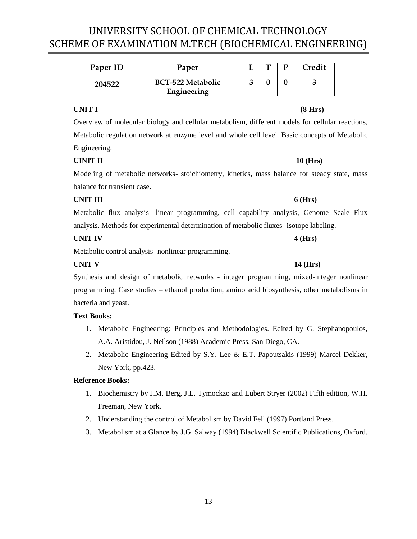<span id="page-12-0"></span>

| Paper ID | Paper                    | m | D | Credit |
|----------|--------------------------|---|---|--------|
| 204522   | <b>BCT-522 Metabolic</b> |   |   |        |
|          | Engineering              |   |   |        |

### **UNIT I (8 Hrs)**

Overview of molecular biology and cellular metabolism, different models for cellular reactions, Metabolic regulation network at enzyme level and whole cell level. Basic concepts of Metabolic Engineering.

### **UINIT II 10 (Hrs)**

Modeling of metabolic networks- stoichiometry, kinetics, mass balance for steady state, mass balance for transient case.

### **UNIT III 6 (Hrs)**

Metabolic flux analysis- linear programming, cell capability analysis, Genome Scale Flux analysis. Methods for experimental determination of metabolic fluxes- isotope labeling.

### **UNIT IV 4 (Hrs)**

Metabolic control analysis- nonlinear programming.

### **UNIT V 14 (Hrs)**

Synthesis and design of metabolic networks - integer programming, mixed-integer nonlinear programming, Case studies – ethanol production, amino acid biosynthesis, other metabolisms in bacteria and yeast.

### **Text Books:**

- 1. Metabolic Engineering: Principles and Methodologies. Edited by G. Stephanopoulos, A.A. Aristidou, J. Neilson (1988) Academic Press, San Diego, CA.
- 2. Metabolic Engineering Edited by S.Y. Lee & E.T. Papoutsakis (1999) Marcel Dekker, New York, pp.423.

- 1. Biochemistry by J.M. Berg, J.L. Tymockzo and Lubert Stryer (2002) Fifth edition, W.H. Freeman, New York.
- 2. Understanding the control of Metabolism by David Fell (1997) Portland Press.
- 3. Metabolism at a Glance by J.G. Salway (1994) Blackwell Scientific Publications, Oxford.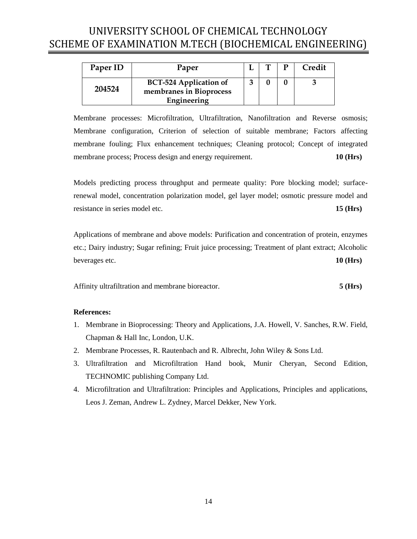<span id="page-13-0"></span>

| Paper ID | Paper                                                    | T | Credit |
|----------|----------------------------------------------------------|---|--------|
| 204524   | <b>BCT-524 Application of</b><br>membranes in Bioprocess |   |        |
|          | Engineering                                              |   |        |

Membrane processes: Microfiltration, Ultrafiltration, Nanofiltration and Reverse osmosis; Membrane configuration, Criterion of selection of suitable membrane; Factors affecting membrane fouling; Flux enhancement techniques; Cleaning protocol; Concept of integrated membrane process; Process design and energy requirement. **10 (Hrs)** 

Models predicting process throughput and permeate quality: Pore blocking model; surfacerenewal model, concentration polarization model, gel layer model; osmotic pressure model and resistance in series model etc. **15 (Hrs)**

Applications of membrane and above models: Purification and concentration of protein, enzymes etc.; Dairy industry; Sugar refining; Fruit juice processing; Treatment of plant extract; Alcoholic beverages etc. **10 (Hrs)**

Affinity ultrafiltration and membrane bioreactor. **5 (Hrs)**

### **References:**

- 1. Membrane in Bioprocessing: Theory and Applications, J.A. Howell, V. Sanches, R.W. Field, Chapman & Hall Inc, London, U.K.
- 2. Membrane Processes, R. Rautenbach and R. Albrecht, John Wiley & Sons Ltd.
- 3. Ultrafiltration and Microfiltration Hand book, Munir Cheryan, Second Edition, TECHNOMIC publishing Company Ltd.
- 4. Microfiltration and Ultrafiltration: Principles and Applications, Principles and applications, Leos J. Zeman, Andrew L. Zydney, Marcel Dekker, New York.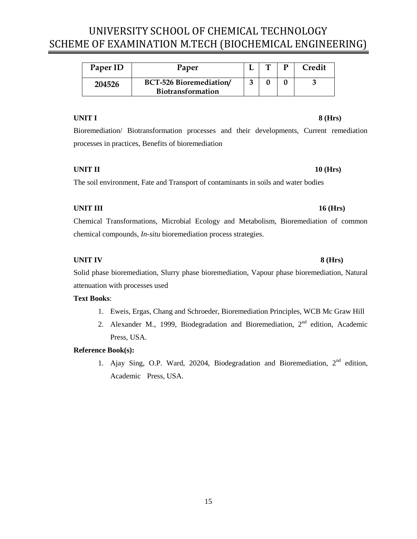<span id="page-14-0"></span>

| Paper ID | Paper                                               | ொ | Credit |
|----------|-----------------------------------------------------|---|--------|
| 204526   | BCT-526 Bioremediation/<br><b>Biotransformation</b> |   |        |

### **UNIT I 8 (Hrs)**

Bioremediation/ Biotransformation processes and their developments, Current remediation processes in practices, Benefits of bioremediation

### **UNIT II** 10 (Hrs)

The soil environment, Fate and Transport of contaminants in soils and water bodies

### **UNIT III 16 (Hrs)**

Chemical Transformations, Microbial Ecology and Metabolism, Bioremediation of common chemical compounds, *In-situ* bioremediation process strategies.

### **UNIT IV 8 (Hrs)**

Solid phase bioremediation, Slurry phase bioremediation, Vapour phase bioremediation, Natural attenuation with processes used

### **Text Books**:

- 1. Eweis, Ergas, Chang and Schroeder, Bioremediation Principles, WCB Mc Graw Hill
- 2. Alexander M., 1999, Biodegradation and Bioremediation,  $2<sup>nd</sup>$  edition, Academic Press, USA.

### **Reference Book(s):**

1. Ajay Sing, O.P. Ward, 20204, Biodegradation and Bioremediation,  $2^{nd}$  edition, Academic Press, USA.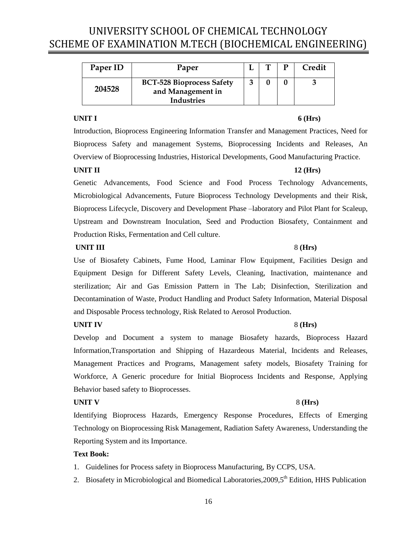<span id="page-15-0"></span>

| Paper ID | Paper                                                                      |  | Credit |
|----------|----------------------------------------------------------------------------|--|--------|
| 204528   | <b>BCT-528 Bioprocess Safety</b><br>and Management in<br><b>Industries</b> |  |        |

### **UNIT I 6 (Hrs)**

Introduction, Bioprocess Engineering Information Transfer and Management Practices, Need for Bioprocess Safety and management Systems, Bioprocessing Incidents and Releases, An Overview of Bioprocessing Industries, Historical Developments, Good Manufacturing Practice.

### **UNIT II 12 (Hrs)**

Genetic Advancements, Food Science and Food Process Technology Advancements, Microbiological Advancements, Future Bioprocess Technology Developments and their Risk, Bioprocess Lifecycle, Discovery and Development Phase –laboratory and Pilot Plant for Scaleup, Upstream and Downstream Inoculation, Seed and Production Biosafety, Containment and Production Risks, Fermentation and Cell culture.

### **UNIT III** 8 **(Hrs)**

Use of Biosafety Cabinets, Fume Hood, Laminar Flow Equipment, Facilities Design and Equipment Design for Different Safety Levels, Cleaning, Inactivation, maintenance and sterilization; Air and Gas Emission Pattern in The Lab; Disinfection, Sterilization and Decontamination of Waste, Product Handling and Product Safety Information, Material Disposal and Disposable Process technology, Risk Related to Aerosol Production.

### **UNIT IV** 8 (Hrs)

Develop and Document a system to manage Biosafety hazards, Bioprocess Hazard Information,Transportation and Shipping of Hazardeous Material, Incidents and Releases, Management Practices and Programs, Management safety models, Biosafety Training for Workforce, A Generic procedure for Initial Bioprocess Incidents and Response, Applying Behavior based safety to Bioprocesses.

## **UNIT V** 8 (Hrs)

Identifying Bioprocess Hazards, Emergency Response Procedures, Effects of Emerging Technology on Bioprocessing Risk Management, Radiation Safety Awareness, Understanding the Reporting System and its Importance.

### **Text Book:**

- 1. Guidelines for Process safety in Bioprocess Manufacturing, By CCPS, USA.
- 2. Biosafety in Microbiological and Biomedical Laboratories, 2009, 5<sup>th</sup> Edition, HHS Publication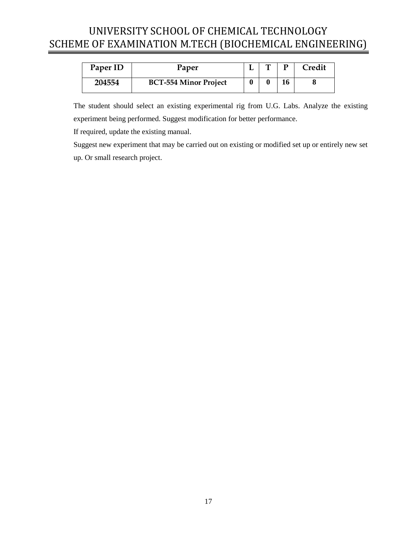<span id="page-16-0"></span>

| Paper ID | Paper                        |  | D | Credit |
|----------|------------------------------|--|---|--------|
| 204554   | <b>BCT-554 Minor Project</b> |  |   |        |

The student should select an existing experimental rig from U.G. Labs. Analyze the existing experiment being performed. Suggest modification for better performance.

If required, update the existing manual.

Suggest new experiment that may be carried out on existing or modified set up or entirely new set up. Or small research project.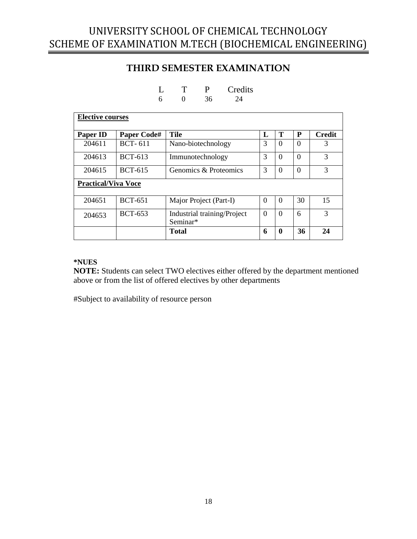## **THIRD SEMESTER EXAMINATION**

<span id="page-17-0"></span>

| <b>Elective courses</b>    |                    |                                         |   |          |          |               |  |  |  |
|----------------------------|--------------------|-----------------------------------------|---|----------|----------|---------------|--|--|--|
| <b>Paper ID</b>            | <b>Paper Code#</b> | <b>Tile</b>                             | L | Т        | P        | <b>Credit</b> |  |  |  |
| 204611                     | <b>BCT-611</b>     | Nano-biotechnology                      | 3 | $\Omega$ | $\Omega$ | 3             |  |  |  |
| 204613                     | <b>BCT-613</b>     | Immunotechnology                        | 3 | $\Omega$ | $\Omega$ | 3             |  |  |  |
| 204615                     | <b>BCT-615</b>     | Genomics & Proteomics                   | 3 | $\Omega$ | $\Omega$ | 3             |  |  |  |
| <b>Practical/Viva Voce</b> |                    |                                         |   |          |          |               |  |  |  |
| 204651                     | <b>BCT-651</b>     | Major Project (Part-I)                  | 0 | $\Omega$ | 30       | 15            |  |  |  |
| 204653                     | <b>BCT-653</b>     | Industrial training/Project<br>Seminar* | 0 | $\Omega$ | 6        | 3             |  |  |  |
|                            |                    | <b>Total</b>                            | 6 | 0        | 36       | 24            |  |  |  |

 $L$  T P Credits<br>6 0 36 24 6 0 36 24

### **\*NUES**

**NOTE:** Students can select TWO electives either offered by the department mentioned above or from the list of offered electives by other departments

#Subject to availability of resource person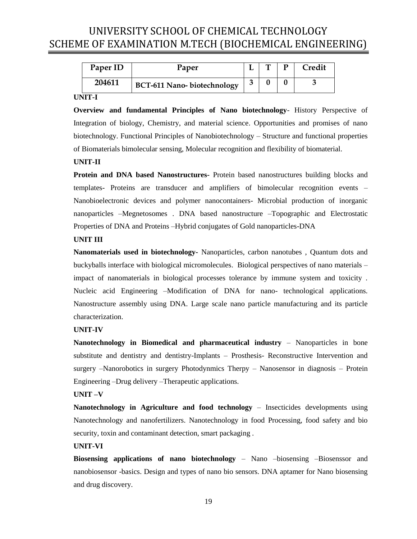<span id="page-18-0"></span>

| Paper ID | Paper                              |   | m | Credit |
|----------|------------------------------------|---|---|--------|
| 204611   | <b>BCT-611 Nano- biotechnology</b> | ◠ |   |        |

### **UNIT-I**

**Overview and fundamental Principles of Nano biotechnology**- History Perspective of Integration of biology, Chemistry, and material science. Opportunities and promises of nano biotechnology. Functional Principles of Nanobiotechnology – Structure and functional properties of Biomaterials bimolecular sensing, Molecular recognition and flexibility of biomaterial.

### **UNIT-II**

**Protein and DNA based Nanostructures-** Protein based nanostructures building blocks and templates- Proteins are transducer and amplifiers of bimolecular recognition events – Nanobioelectronic devices and polymer nanocontainers- Microbial production of inorganic nanoparticles –Megnetosomes . DNA based nanostructure –Topographic and Electrostatic Properties of DNA and Proteins –Hybrid conjugates of Gold nanoparticles-DNA

### **UNIT III**

**Nanomaterials used in biotechnology-** Nanoparticles, carbon nanotubes , Quantum dots and buckyballs interface with biological micromolecules. Biological perspectives of nano materials – impact of nanomaterials in biological processes tolerance by immune system and toxicity . Nucleic acid Engineering –Modification of DNA for nano- technological applications. Nanostructure assembly using DNA. Large scale nano particle manufacturing and its particle characterization.

### **UNIT-IV**

**Nanotechnology in Biomedical and pharmaceutical industry** – Nanoparticles in bone substitute and dentistry and dentistry-Implants – Prosthesis- Reconstructive Intervention and surgery –Nanorobotics in surgery Photodynmics Therpy – Nanosensor in diagnosis – Protein Engineering –Drug delivery –Therapeutic applications.

### **UNIT –V**

**Nanotechnology in Agriculture and food technology** – Insecticides developments using Nanotechnology and nanofertilizers. Nanotechnology in food Processing, food safety and bio security, toxin and contaminant detection, smart packaging .

### **UNIT-VI**

**Biosensing applications of nano biotechnology** – Nano –biosensing –Biosenssor and nanobiosensor -basics. Design and types of nano bio sensors. DNA aptamer for Nano biosensing and drug discovery.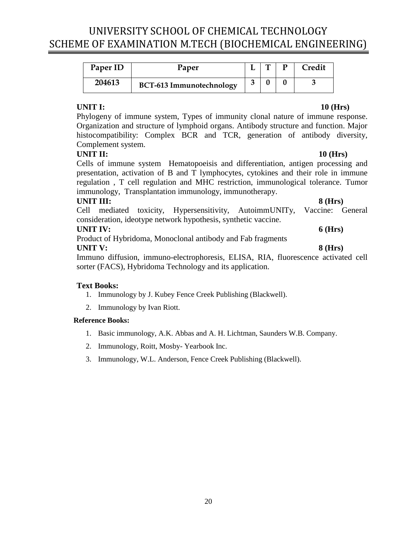<span id="page-19-0"></span>

| Paper ID | Paper                           |   |  | Credit |
|----------|---------------------------------|---|--|--------|
| 204613   | <b>BCT-613 Immunotechnology</b> | ◠ |  |        |

### **UNIT I: 10 (Hrs)**

Phylogeny of immune system, Types of immunity clonal nature of immune response. Organization and structure of lymphoid organs. Antibody structure and function. Major histocompatibility: Complex BCR and TCR, generation of antibody diversity, Complement system.

## **UNIT II: 10 (Hrs)**

Cells of immune system Hematopoeisis and differentiation, antigen processing and presentation, activation of B and T lymphocytes, cytokines and their role in immune regulation , T cell regulation and MHC restriction, immunological tolerance. Tumor immunology, Transplantation immunology, immunotherapy.

### **UNIT III: 8 (Hrs)**

Cell mediated toxicity, Hypersensitivity, AutoimmUNITy, Vaccine: General consideration, ideotype network hypothesis, synthetic vaccine.

## **UNIT IV: 6 (Hrs)**

Product of Hybridoma, Monoclonal antibody and Fab fragments **UNIT V: 8 (Hrs)**

Immuno diffusion, immuno-electrophoresis, ELISA, RIA, fluorescence activated cell sorter (FACS), Hybridoma Technology and its application.

## **Text Books:**

- 1. Immunology by J. Kubey Fence Creek Publishing (Blackwell).
- 2. Immunology by Ivan Riott.

- 1. Basic immunology, A.K. Abbas and A. H. Lichtman, Saunders W.B. Company.
- 2. Immunology, Roitt, Mosby- Yearbook Inc.
- 3. Immunology, W.L. Anderson, Fence Creek Publishing (Blackwell).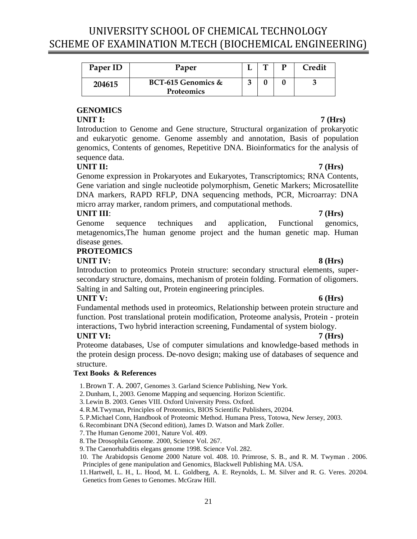<span id="page-20-0"></span>

| Paper ID | Paper                                   |  | Credit |
|----------|-----------------------------------------|--|--------|
| 204615   | BCT-615 Genomics &<br><b>Proteomics</b> |  |        |

## **GENOMICS**

### **UNIT I: 7 (Hrs)**

Introduction to Genome and Gene structure, Structural organization of prokaryotic and eukaryotic genome. Genome assembly and annotation, Basis of population genomics, Contents of genomes, Repetitive DNA. Bioinformatics for the analysis of sequence data.

## **UNIT II: 7 (Hrs)**

Genome expression in Prokaryotes and Eukaryotes, Transcriptomics; RNA Contents, Gene variation and single nucleotide polymorphism, Genetic Markers; Microsatellite DNA markers, RAPD RFLP, DNA sequencing methods, PCR, Microarray: DNA micro array marker, random primers, and computational methods.

## **UNIT III**: **7 (Hrs)**

Genome sequence techniques and application, Functional genomics, metagenomics,The human genome project and the human genetic map. Human disease genes.

### **PROTEOMICS**

### **UNIT IV: 8 (Hrs)**

Introduction to proteomics Protein structure: secondary structural elements, supersecondary structure, domains, mechanism of protein folding. Formation of oligomers. Salting in and Salting out, Protein engineering principles.

### **UNIT V: 6 (Hrs)**

Fundamental methods used in proteomics, Relationship between protein structure and function. Post translational protein modification, Proteome analysis, Protein - protein interactions, Two hybrid interaction screening, Fundamental of system biology.

## **UNIT VI: 7 (Hrs)**

Proteome databases, Use of computer simulations and knowledge-based methods in the protein design process. De-novo design; making use of databases of sequence and structure.

### **Text Books & References**

1.Brown T. A. 2007, Genomes 3. Garland Science Publishing, New York.

2. Dunham, I., 2003. Genome Mapping and sequencing. Horizon Scientific.

- 3.Lewin B. 2003. Genes VIII. Oxford University Press. Oxford.
- 4.R.M.Twyman, Principles of Proteomics, BIOS Scientific Publishers, 20204.

5. P.Michael Conn, Handbook of Proteomic Method. Humana Press, Totowa, New Jersey, 2003.

- 6.Recombinant DNA (Second edition), James D. Watson and Mark Zoller.
- 7.The Human Genome 2001, Nature Vol. 409.

8.The Drosophila Genome. 2000, Science Vol. 267.

9.The Caenorhabditis elegans genome 1998. Science Vol. 282.

10. The Arabidopsis Genome 2000 Nature vol. 408. 10. Primrose, S. B., and R. M. Twyman . 2006. Principles of gene manipulation and Genomics, Blackwell Publishing MA. USA.

11.Hartwell, L. H., L. Hood, M. L. Goldberg, A. E. Reynolds, L. M. Silver and R. G. Veres. 20204. Genetics from Genes to Genomes. McGraw Hill.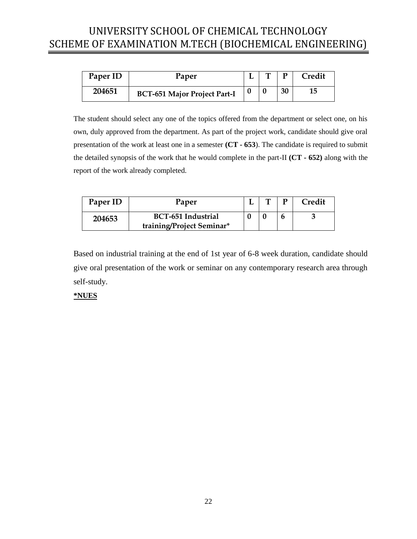<span id="page-21-0"></span>

| Paper ID | Paper                               | m | D  | Credit |
|----------|-------------------------------------|---|----|--------|
| 204651   | <b>BCT-651 Major Project Part-I</b> |   | 30 | 15     |

The student should select any one of the topics offered from the department or select one, on his own, duly approved from the department. As part of the project work, candidate should give oral presentation of the work at least one in a semester **(CT - 653**). The candidate is required to submit the detailed synopsis of the work that he would complete in the part-II **(CT - 652)** along with the report of the work already completed.

<span id="page-21-1"></span>

| Paper ID | Paper                                                  |  | <b>Tredit</b> |
|----------|--------------------------------------------------------|--|---------------|
| 204653   | <b>BCT-651 Industrial</b><br>training/Project Seminar* |  |               |

Based on industrial training at the end of 1st year of 6-8 week duration, candidate should give oral presentation of the work or seminar on any contemporary research area through self-study.

### **\*NUES**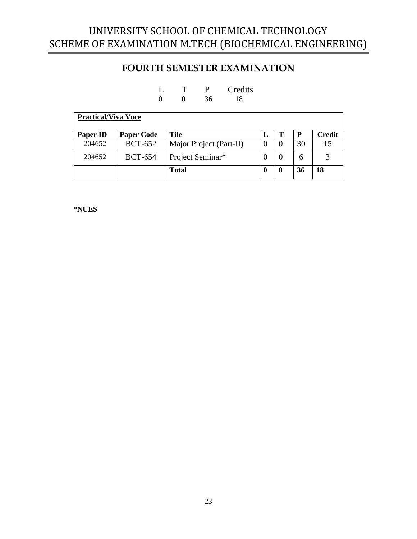## **FOURTH SEMESTER EXAMINATION**

| L |          | P  | Credits |
|---|----------|----|---------|
|   | $\Omega$ | 36 | 18      |

<span id="page-22-0"></span>

| <b>Practical/Viva Voce</b> |                   |                         |   |  |    |               |  |
|----------------------------|-------------------|-------------------------|---|--|----|---------------|--|
| Paper ID                   | <b>Paper Code</b> | Tile                    | L |  | P  | <b>Credit</b> |  |
| 204652                     | <b>BCT-652</b>    | Major Project (Part-II) |   |  | 30 | 15            |  |
| 204652                     | <b>BCT-654</b>    | Project Seminar*        |   |  | 6  |               |  |
|                            |                   | <b>Total</b>            |   |  | 36 | 18            |  |

**\*NUES**